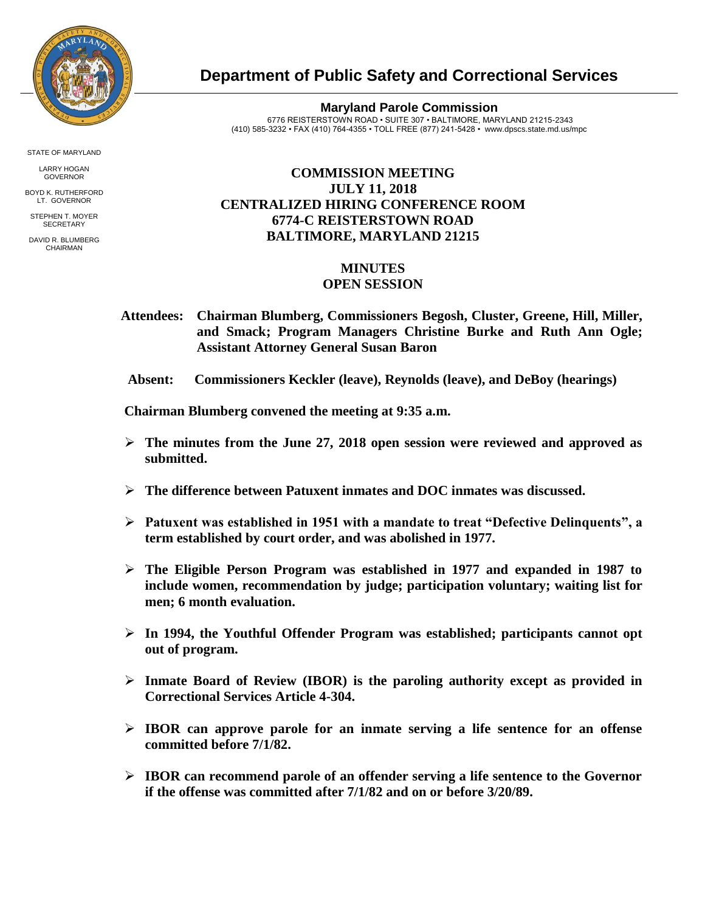

**Department of Public Safety and Correctional Services**

**Maryland Parole Commission** 6776 REISTERSTOWN ROAD • SUITE 307 • BALTIMORE, MARYLAND 21215-2343 (410) 585-3232 • FAX (410) 764-4355 • TOLL FREE (877) 241-5428 • [www.dpscs.state.md.us/m](http://www.dpscs.state.md.us/)pc

## **COMMISSION MEETING JULY 11, 2018 CENTRALIZED HIRING CONFERENCE ROOM 6774-C REISTERSTOWN ROAD BALTIMORE, MARYLAND 21215**

## **MINUTES OPEN SESSION**

- **Attendees: Chairman Blumberg, Commissioners Begosh, Cluster, Greene, Hill, Miller, and Smack; Program Managers Christine Burke and Ruth Ann Ogle; Assistant Attorney General Susan Baron**
- **Absent: Commissioners Keckler (leave), Reynolds (leave), and DeBoy (hearings)**

 **Chairman Blumberg convened the meeting at 9:35 a.m.**

- **The minutes from the June 27, 2018 open session were reviewed and approved as submitted.**
- **The difference between Patuxent inmates and DOC inmates was discussed.**
- **Patuxent was established in 1951 with a mandate to treat "Defective Delinquents", a term established by court order, and was abolished in 1977.**
- **The Eligible Person Program was established in 1977 and expanded in 1987 to include women, recommendation by judge; participation voluntary; waiting list for men; 6 month evaluation.**
- **In 1994, the Youthful Offender Program was established; participants cannot opt out of program.**
- **Inmate Board of Review (IBOR) is the paroling authority except as provided in Correctional Services Article 4-304.**
- **IBOR can approve parole for an inmate serving a life sentence for an offense committed before 7/1/82.**
- **IBOR can recommend parole of an offender serving a life sentence to the Governor if the offense was committed after 7/1/82 and on or before 3/20/89.**

STATE OF MARYLAND

LARRY HOGAN GOVERNOR BOYD K. RUTHERFORD

LT. GOVERNOR STEPHEN T. MOYER **SECRETARY** 

DAVID R. BLUMBERG **CHAIRMAN**